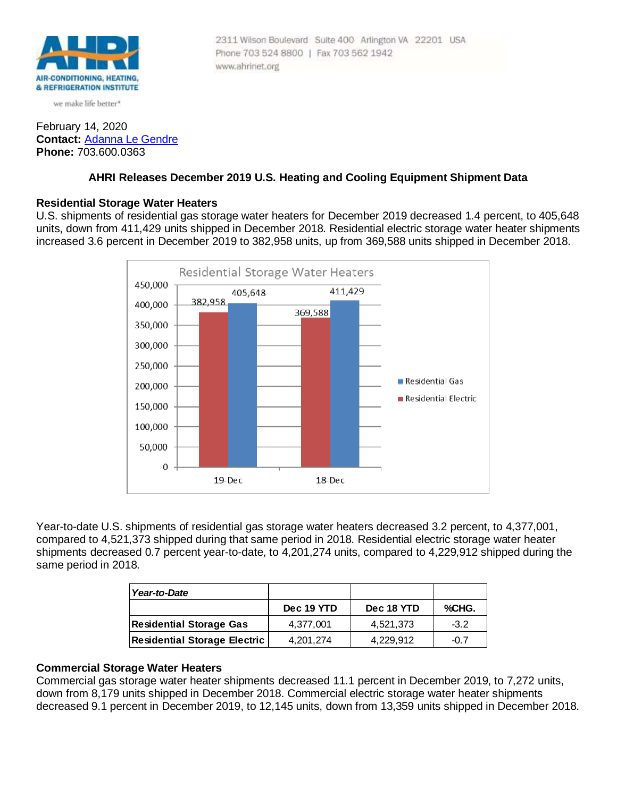

we make life better\*

## February 14, 2020 **Contact:** [Adanna Le Gendre](mailto:AleGendre@ahrinet.org) **Phone:** 703.600.0363

#### 2311 Wilson Boulevard Suite 400 Arlington VA 22201 USA Phone 703 524 8800 | Fax 703 562 1942 www.ahrinet.org

# **AHRI Releases December 2019 U.S. Heating and Cooling Equipment Shipment Data**

# **Residential Storage Water Heaters**

U.S. shipments of residential gas storage water heaters for December 2019 decreased 1.4 percent, to 405,648 units, down from 411,429 units shipped in December 2018. Residential electric storage water heater shipments increased 3.6 percent in December 2019 to 382,958 units, up from 369,588 units shipped in December 2018.



Year-to-date U.S. shipments of residential gas storage water heaters decreased 3.2 percent, to 4,377,001, compared to 4,521,373 shipped during that same period in 2018. Residential electric storage water heater shipments decreased 0.7 percent year-to-date, to 4,201,274 units, compared to 4,229,912 shipped during the same period in 2018.

| Year-to-Date                        |            |            |        |
|-------------------------------------|------------|------------|--------|
|                                     | Dec 19 YTD | Dec 18 YTD | %CHG.  |
| <b>Residential Storage Gas</b>      | 4.377.001  | 4,521,373  | $-3.2$ |
| <b>Residential Storage Electric</b> | 4.201.274  | 4.229.912  | $-0.7$ |

# **Commercial Storage Water Heaters**

Commercial gas storage water heater shipments decreased 11.1 percent in December 2019, to 7,272 units, down from 8,179 units shipped in December 2018. Commercial electric storage water heater shipments decreased 9.1 percent in December 2019, to 12,145 units, down from 13,359 units shipped in December 2018.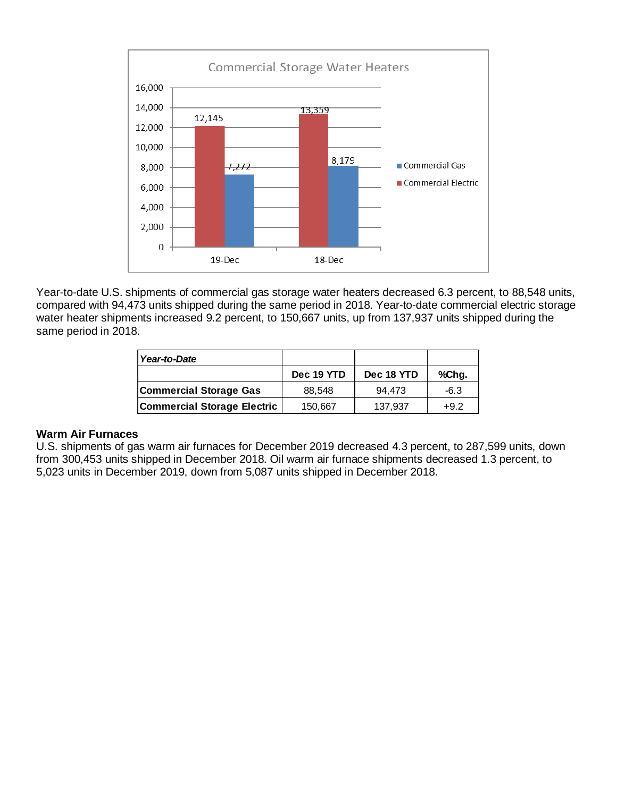

Year-to-date U.S. shipments of commercial gas storage water heaters decreased 6.3 percent, to 88,548 units, compared with 94,473 units shipped during the same period in 2018. Year-to-date commercial electric storage water heater shipments increased 9.2 percent, to 150,667 units, up from 137,937 units shipped during the same period in 2018.

| Year-to-Date                       |            |            |        |
|------------------------------------|------------|------------|--------|
|                                    | Dec 19 YTD | Dec 18 YTD | %Chg.  |
| Commercial Storage Gas             | 88,548     | 94.473     | $-6.3$ |
| <b>Commercial Storage Electric</b> | 150,667    | 137,937    | $+9.2$ |

## **Warm Air Furnaces**

U.S. shipments of gas warm air furnaces for December 2019 decreased 4.3 percent, to 287,599 units, down from 300,453 units shipped in December 2018. Oil warm air furnace shipments decreased 1.3 percent, to 5,023 units in December 2019, down from 5,087 units shipped in December 2018.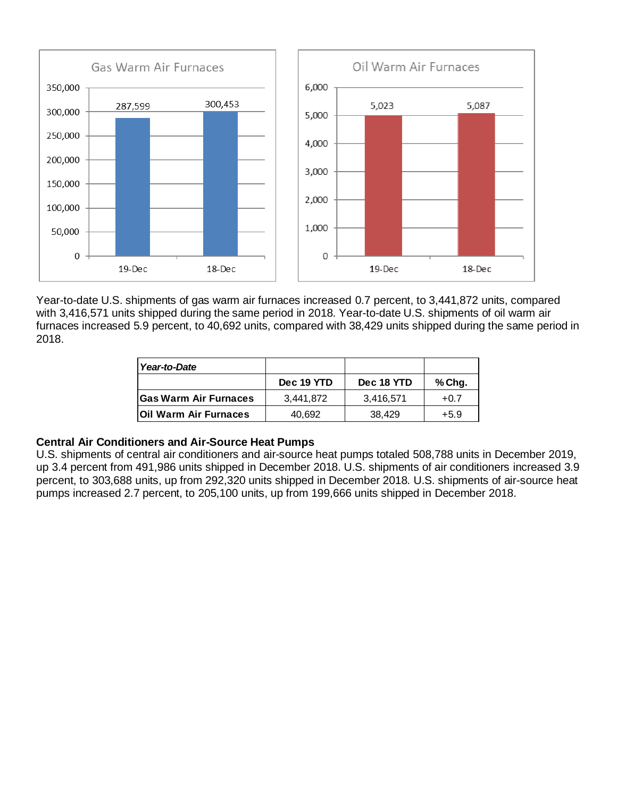

Year-to-date U.S. shipments of gas warm air furnaces increased 0.7 percent, to 3,441,872 units, compared with 3,416,571 units shipped during the same period in 2018. Year-to-date U.S. shipments of oil warm air furnaces increased 5.9 percent, to 40,692 units, compared with 38,429 units shipped during the same period in 2018.

| Year-to-Date                 |            |            |        |
|------------------------------|------------|------------|--------|
|                              | Dec 19 YTD | Dec 18 YTD | % Chg. |
| lGas Warm Air Furnaces       | 3.441.872  | 3.416.571  | $+0.7$ |
| <b>Oil Warm Air Furnaces</b> | 40.692     | 38,429     | +5.9   |

#### **Central Air Conditioners and Air-Source Heat Pumps**

U.S. shipments of central air conditioners and air-source heat pumps totaled 508,788 units in December 2019, up 3.4 percent from 491,986 units shipped in December 2018. U.S. shipments of air conditioners increased 3.9 percent, to 303,688 units, up from 292,320 units shipped in December 2018. U.S. shipments of air-source heat pumps increased 2.7 percent, to 205,100 units, up from 199,666 units shipped in December 2018.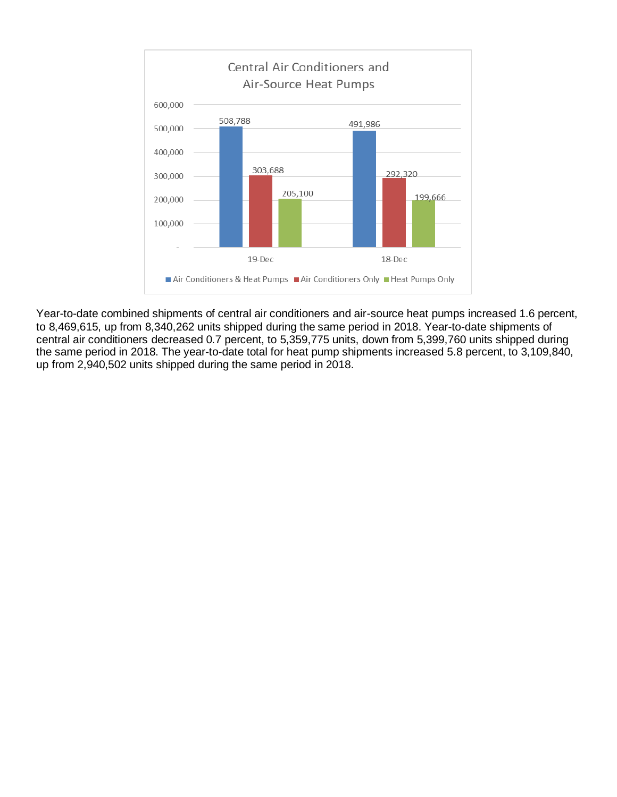

Year-to-date combined shipments of central air conditioners and air-source heat pumps increased 1.6 percent, to 8,469,615, up from 8,340,262 units shipped during the same period in 2018. Year-to-date shipments of central air conditioners decreased 0.7 percent, to 5,359,775 units, down from 5,399,760 units shipped during the same period in 2018. The year-to-date total for heat pump shipments increased 5.8 percent, to 3,109,840, up from 2,940,502 units shipped during the same period in 2018.